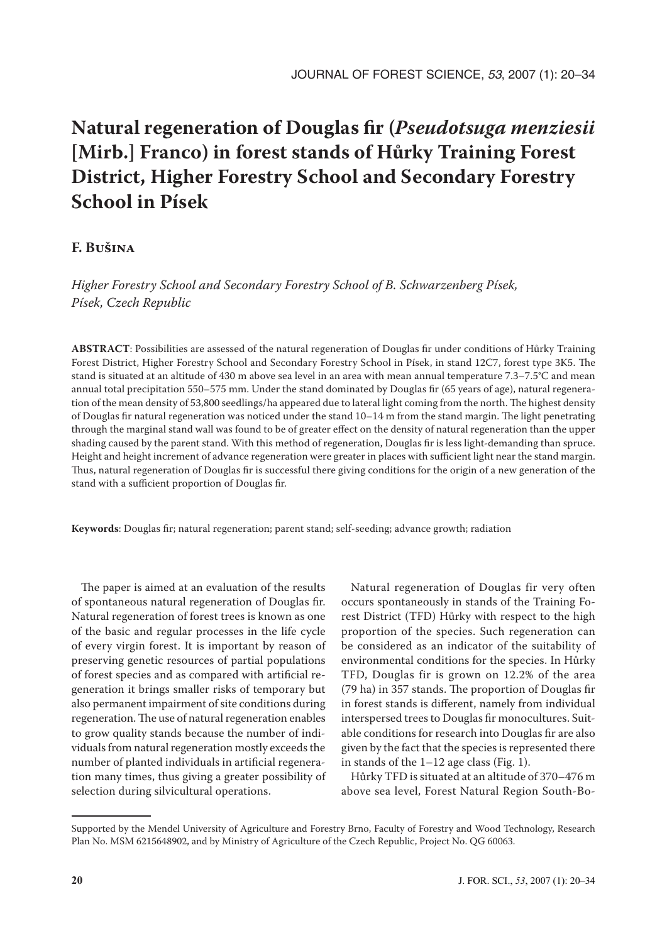# **Natural regeneration of Douglas fir (***Pseudotsuga menziesii* **[Mirb.] Franco) in forest stands of Hůrky Training Forest District, Higher Forestry School and Secondary Forestry School in Písek**

## **F. Bušina**

*Higher Forestry School and Secondary Forestry School of B. Schwarzenberg Písek, Písek, Czech Republic*

**ABSTRACT**: Possibilities are assessed of the natural regeneration of Douglas fir under conditions of Hůrky Training Forest District, Higher Forestry School and Secondary Forestry School in Písek, in stand 12C7, forest type 3K5. The stand is situated at an altitude of 430 m above sea level in an area with mean annual temperature 7.3–7.5°C and mean annual total precipitation 550–575 mm. Under the stand dominated by Douglas fir (65 years of age), natural regeneration of the mean density of 53,800 seedlings/ha appeared due to lateral light coming from the north. The highest density of Douglas fir natural regeneration was noticed under the stand 10–14 m from the stand margin. The light penetrating through the marginal stand wall was found to be of greater effect on the density of natural regeneration than the upper shading caused by the parent stand. With this method of regeneration, Douglas fir is less light-demanding than spruce. Height and height increment of advance regeneration were greater in places with sufficient light near the stand margin. Thus, natural regeneration of Douglas fir is successful there giving conditions for the origin of a new generation of the stand with a sufficient proportion of Douglas fir.

**Keywords**: Douglas fir; natural regeneration; parent stand; self-seeding; advance growth; radiation

The paper is aimed at an evaluation of the results of spontaneous natural regeneration of Douglas fir. Natural regeneration of forest trees is known as one of the basic and regular processes in the life cycle of every virgin forest. It is important by reason of preserving genetic resources of partial populations of forest species and as compared with artificial regeneration it brings smaller risks of temporary but also permanent impairment of site conditions during regeneration. The use of natural regeneration enables to grow quality stands because the number of individuals from natural regeneration mostly exceeds the number of planted individuals in artificial regeneration many times, thus giving a greater possibility of selection during silvicultural operations.

Natural regeneration of Douglas fir very often occurs spontaneously in stands of the Training Forest District (TFD) Hůrky with respect to the high proportion of the species. Such regeneration can be considered as an indicator of the suitability of environmental conditions for the species. In Hůrky TFD, Douglas fir is grown on 12.2% of the area (79 ha) in 357 stands. The proportion of Douglas fir in forest stands is different, namely from individual interspersed trees to Douglas fir monocultures. Suitable conditions for research into Douglas fir are also given by the fact that the species is represented there in stands of the 1–12 age class (Fig. 1).

Hůrky TFD is situated at an altitude of 370–476 m above sea level, Forest Natural Region South-Bo-

Supported by the Mendel University of Agriculture and Forestry Brno, Faculty of Forestry and Wood Technology, Research Plan No. MSM 6215648902, and by Ministry of Agriculture of the Czech Republic, Project No. QG 60063.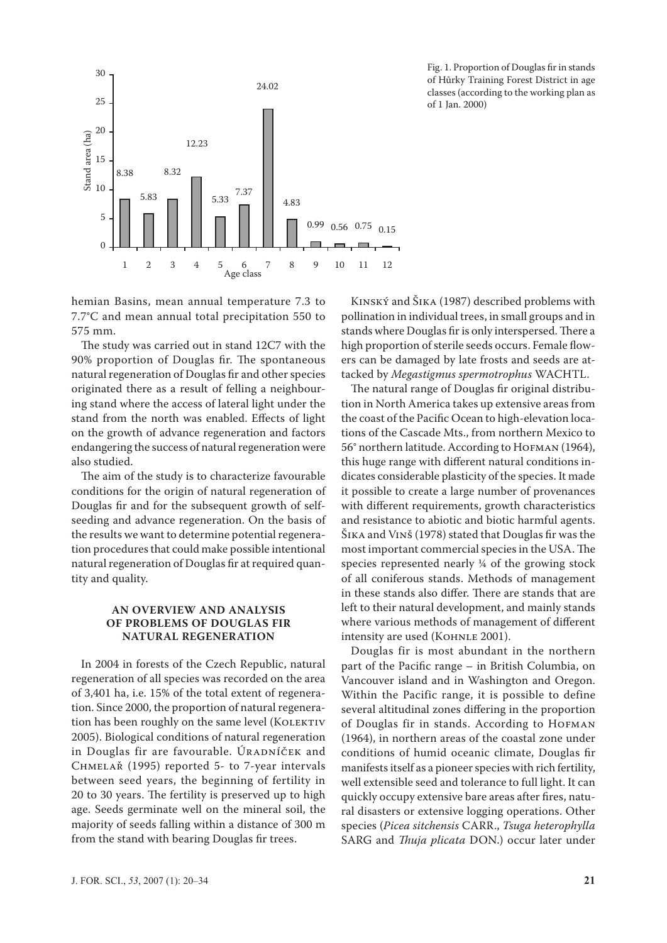

Fig. 1. Proportion of Douglas fir in stands of Hůrky Training Forest District in age classes (according to the working plan as of 1 Jan. 2000)

hemian Basins, mean annual temperature 7.3 to 7.7°C and mean annual total precipitation 550 to 575 mm.

The study was carried out in stand 12C7 with the 90% proportion of Douglas fir. The spontaneous natural regeneration of Douglas fir and other species originated there as a result of felling a neighbouring stand where the access of lateral light under the stand from the north was enabled. Effects of light on the growth of advance regeneration and factors endangering the success of natural regeneration were also studied.

The aim of the study is to characterize favourable conditions for the origin of natural regeneration of Douglas fir and for the subsequent growth of selfseeding and advance regeneration. On the basis of the results we want to determine potential regeneration procedures that could make possible intentional natural regeneration of Douglas fir at required quantity and quality.

## **An Overview and Analysis of Problems of Douglas Fir Natural Regeneration**

In 2004 in forests of the Czech Republic, natural regeneration of all species was recorded on the area of 3,401 ha, i.e. 15% of the total extent of regeneration. Since 2000, the proportion of natural regeneration has been roughly on the same level (KOLEKTIV 2005). Biological conditions of natural regeneration in Douglas fir are favourable. ÚRADNÍČEK and Chmelař (1995) reported 5- to 7-year intervals between seed years, the beginning of fertility in 20 to 30 years. The fertility is preserved up to high age. Seeds germinate well on the mineral soil, the majority of seeds falling within a distance of 300 m from the stand with bearing Douglas fir trees.

Kinský and Šika (1987) described problems with pollination in individual trees, in small groups and in stands where Douglas fir is only interspersed. There a high proportion of sterile seeds occurs. Female flowers can be damaged by late frosts and seeds are attacked by *Megastigmus spermotrophus* WACHTL.

The natural range of Douglas fir original distribution in North America takes up extensive areas from the coast of the Pacific Ocean to high-elevation locations of the Cascade Mts., from northern Mexico to 56° northern latitude. According to Hofman (1964), this huge range with different natural conditions indicates considerable plasticity of the species. It made it possible to create a large number of provenances with different requirements, growth characteristics and resistance to abiotic and biotic harmful agents. Šika and Vinš (1978) stated that Douglas fir was the most important commercial species in the USA. The species represented nearly ¼ of the growing stock of all coniferous stands. Methods of management in these stands also differ. There are stands that are left to their natural development, and mainly stands where various methods of management of different intensity are used (KOHNLE 2001).

Douglas fir is most abundant in the northern part of the Pacific range – in British Columbia, on Vancouver island and in Washington and Oregon. Within the Pacific range, it is possible to define several altitudinal zones differing in the proportion of Douglas fir in stands. According to HOFMAN (1964), in northern areas of the coastal zone under conditions of humid oceanic climate, Douglas fir manifests itself as a pioneer species with rich fertility, well extensible seed and tolerance to full light. It can quickly occupy extensive bare areas after fires, natural disasters or extensive logging operations. Other species (*Picea sitchensis* CARR., *Tsuga heterophylla* SARG and *Thuja plicata* DON.) occur later under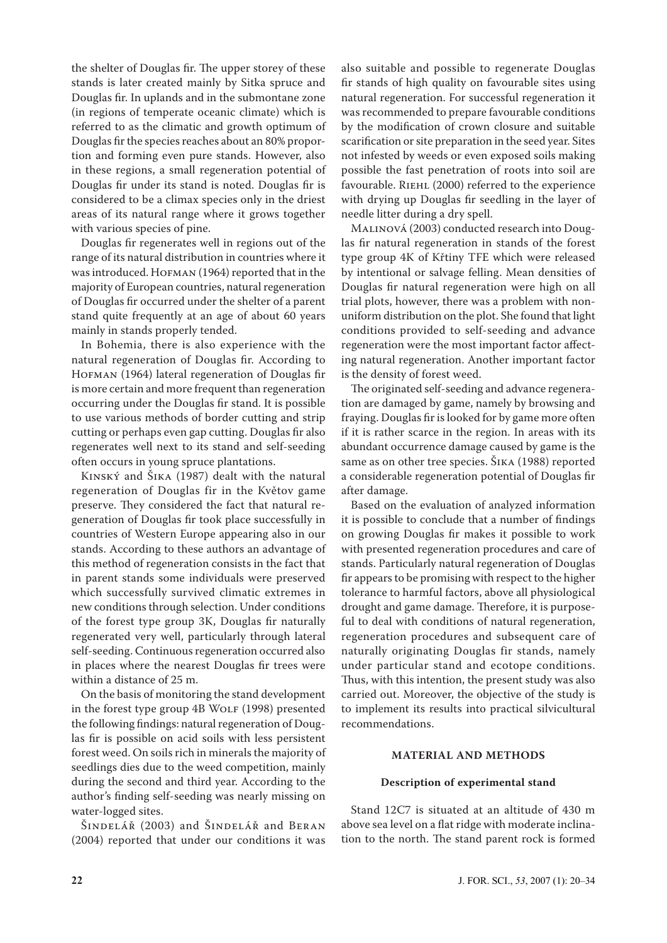the shelter of Douglas fir. The upper storey of these stands is later created mainly by Sitka spruce and Douglas fir. In uplands and in the submontane zone (in regions of temperate oceanic climate) which is referred to as the climatic and growth optimum of Douglas fir the species reaches about an 80% proportion and forming even pure stands. However, also in these regions, a small regeneration potential of Douglas fir under its stand is noted. Douglas fir is considered to be a climax species only in the driest areas of its natural range where it grows together with various species of pine.

Douglas fir regenerates well in regions out of the range of its natural distribution in countries where it was introduced. HOFMAN (1964) reported that in the majority of European countries, natural regeneration of Douglas fir occurred under the shelter of a parent stand quite frequently at an age of about 60 years mainly in stands properly tended.

In Bohemia, there is also experience with the natural regeneration of Douglas fir. According to HOFMAN (1964) lateral regeneration of Douglas fir is more certain and more frequent than regeneration occurring under the Douglas fir stand. It is possible to use various methods of border cutting and strip cutting or perhaps even gap cutting. Douglas fir also regenerates well next to its stand and self-seeding often occurs in young spruce plantations.

Kinský and Šika (1987) dealt with the natural regeneration of Douglas fir in the Květov game preserve. They considered the fact that natural regeneration of Douglas fir took place successfully in countries of Western Europe appearing also in our stands. According to these authors an advantage of this method of regeneration consists in the fact that in parent stands some individuals were preserved which successfully survived climatic extremes in new conditions through selection. Under conditions of the forest type group 3K, Douglas fir naturally regenerated very well, particularly through lateral self-seeding. Continuous regeneration occurred also in places where the nearest Douglas fir trees were within a distance of 25 m.

On the basis of monitoring the stand development in the forest type group 4B WOLF (1998) presented the following findings: natural regeneration of Douglas fir is possible on acid soils with less persistent forest weed. On soils rich in minerals the majority of seedlings dies due to the weed competition, mainly during the second and third year. According to the author's finding self-seeding was nearly missing on water-logged sites.

Šindelář (2003) and Šindelář and Beran (2004) reported that under our conditions it was

also suitable and possible to regenerate Douglas fir stands of high quality on favourable sites using natural regeneration. For successful regeneration it was recommended to prepare favourable conditions by the modification of crown closure and suitable scarification or site preparation in the seed year. Sites not infested by weeds or even exposed soils making possible the fast penetration of roots into soil are favourable. RIEHL (2000) referred to the experience with drying up Douglas fir seedling in the layer of needle litter during a dry spell.

Malinová (2003) conducted research into Douglas fir natural regeneration in stands of the forest type group 4K of Křtiny TFE which were released by intentional or salvage felling. Mean densities of Douglas fir natural regeneration were high on all trial plots, however, there was a problem with nonuniform distribution on the plot. She found that light conditions provided to self-seeding and advance regeneration were the most important factor affecting natural regeneration. Another important factor is the density of forest weed.

The originated self-seeding and advance regeneration are damaged by game, namely by browsing and fraying. Douglas fir is looked for by game more often if it is rather scarce in the region. In areas with its abundant occurrence damage caused by game is the same as on other tree species. Šika (1988) reported a considerable regeneration potential of Douglas fir after damage.

Based on the evaluation of analyzed information it is possible to conclude that a number of findings on growing Douglas fir makes it possible to work with presented regeneration procedures and care of stands. Particularly natural regeneration of Douglas fir appears to be promising with respect to the higher tolerance to harmful factors, above all physiological drought and game damage. Therefore, it is purposeful to deal with conditions of natural regeneration, regeneration procedures and subsequent care of naturally originating Douglas fir stands, namely under particular stand and ecotope conditions. Thus, with this intention, the present study was also carried out. Moreover, the objective of the study is to implement its results into practical silvicultural recommendations.

## **material and methods**

## **Description of experimental stand**

Stand 12C7 is situated at an altitude of 430 m above sea level on a flat ridge with moderate inclination to the north. The stand parent rock is formed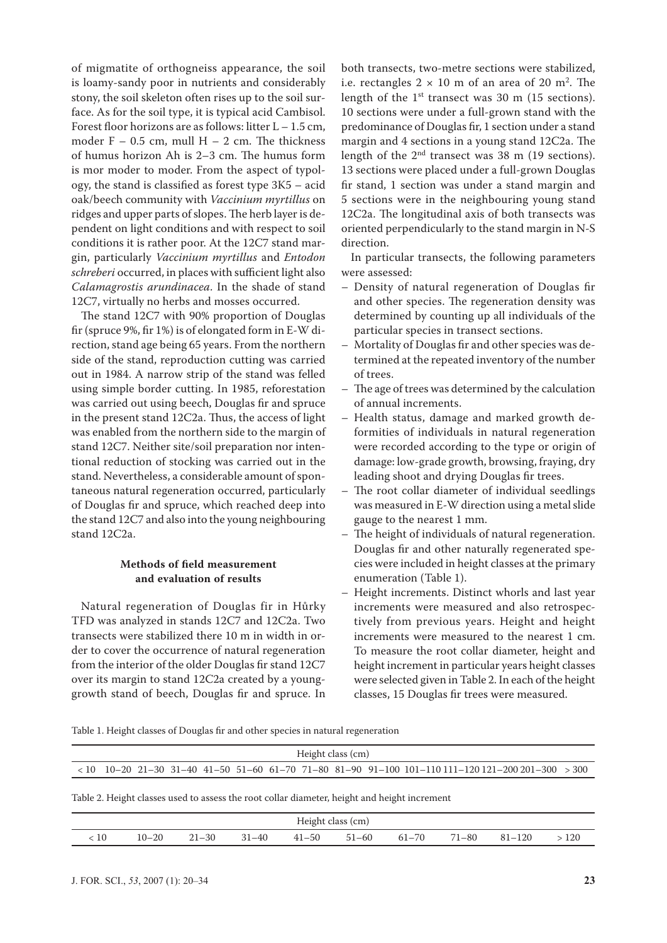of migmatite of orthogneiss appearance, the soil is loamy-sandy poor in nutrients and considerably stony, the soil skeleton often rises up to the soil surface. As for the soil type, it is typical acid Cambisol. Forest floor horizons are as follows: litter  $L - 1.5$  cm, moder F – 0.5 cm, mull H – 2 cm. The thickness of humus horizon Ah is 2–3 cm. The humus form is mor moder to moder. From the aspect of typology, the stand is classified as forest type 3K5 – acid oak/beech community with *Vaccinium myrtillus* on ridges and upper parts of slopes. The herb layer is dependent on light conditions and with respect to soil conditions it is rather poor. At the 12C7 stand margin, particularly *Vaccinium myrtillus* and *Entodon schreberi* occurred, in places with sufficient light also *Calamagrostis arundinacea*. In the shade of stand 12C7, virtually no herbs and mosses occurred.

The stand 12C7 with 90% proportion of Douglas fir (spruce 9%, fir 1%) is of elongated form in E-W direction, stand age being 65 years. From the northern side of the stand, reproduction cutting was carried out in 1984. A narrow strip of the stand was felled using simple border cutting. In 1985, reforestation was carried out using beech, Douglas fir and spruce in the present stand 12C2a. Thus, the access of light was enabled from the northern side to the margin of stand 12C7. Neither site/soil preparation nor intentional reduction of stocking was carried out in the stand. Nevertheless, a considerable amount of spontaneous natural regeneration occurred, particularly of Douglas fir and spruce, which reached deep into the stand 12C7 and also into the young neighbouring stand 12C2a.

## **Methods of field measurement and evaluation of results**

Natural regeneration of Douglas fir in Hůrky TFD was analyzed in stands 12C7 and 12C2a. Two transects were stabilized there 10 m in width in order to cover the occurrence of natural regeneration from the interior of the older Douglas fir stand 12C7 over its margin to stand 12C2a created by a younggrowth stand of beech, Douglas fir and spruce. In both transects, two-metre sections were stabilized, i.e. rectangles  $2 \times 10$  m of an area of 20 m<sup>2</sup>. The length of the  $1<sup>st</sup>$  transect was 30 m (15 sections). 10 sections were under a full-grown stand with the predominance of Douglas fir, 1 section under a stand margin and 4 sections in a young stand 12C2a. The length of the  $2<sup>nd</sup>$  transect was 38 m (19 sections). 13 sections were placed under a full-grown Douglas fir stand, 1 section was under a stand margin and 5 sections were in the neighbouring young stand 12C2a. The longitudinal axis of both transects was oriented perpendicularly to the stand margin in N-S direction.

In particular transects, the following parameters were assessed:

- Density of natural regeneration of Douglas fir and other species. The regeneration density was determined by counting up all individuals of the particular species in transect sections.
- Mortality of Douglas fir and other species was determined at the repeated inventory of the number of trees.
- The age of trees was determined by the calculation of annual increments.
- Health status, damage and marked growth deformities of individuals in natural regeneration were recorded according to the type or origin of damage: low-grade growth, browsing, fraying, dry leading shoot and drying Douglas fir trees.
- The root collar diameter of individual seedlings was measured in E-W direction using a metal slide gauge to the nearest 1 mm.
- The height of individuals of natural regeneration. Douglas fir and other naturally regenerated species were included in height classes at the primary enumeration (Table 1).
- Height increments. Distinct whorls and last year increments were measured and also retrospectively from previous years. Height and height increments were measured to the nearest 1 cm. To measure the root collar diameter, height and height increment in particular years height classes were selected given in Table 2. In each of the height classes, 15 Douglas fir trees were measured.

Table 1. Height classes of Douglas fir and other species in natural regeneration

|  |  |  | Height class (cm) |  |                                                                                                         |  |
|--|--|--|-------------------|--|---------------------------------------------------------------------------------------------------------|--|
|  |  |  |                   |  | $(10 - 10 - 20)$ 21-30 31-40 41-50 51-60 61-70 71-80 81-90 91-100 101-110 111-120 121-200 201-300 > 300 |  |
|  |  |  |                   |  |                                                                                                         |  |

Table 2. Height classes used to assess the root collar diameter, height and height increment

|      |           |           |       |           | Height class (cm) |       |            |      |
|------|-----------|-----------|-------|-----------|-------------------|-------|------------|------|
| : 10 | $10 - 20$ | $21 - 30$ | 31–40 | $41 - 50$ | $51-60$ $61-70$   | 71-80 | $81 - 120$ | >120 |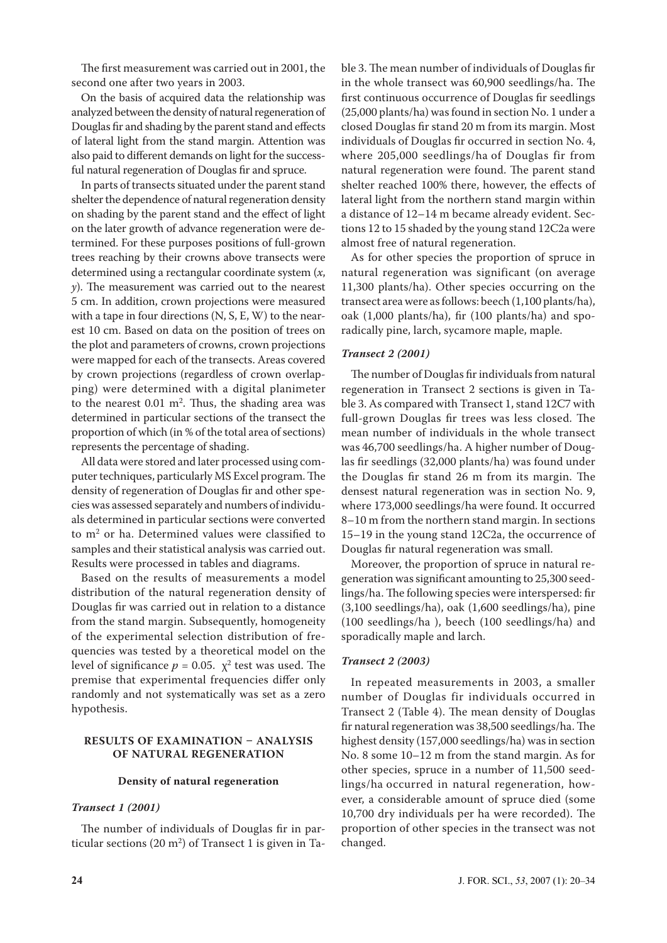The first measurement was carried out in 2001, the second one after two years in 2003.

On the basis of acquired data the relationship was analyzed between the density of natural regeneration of Douglas fir and shading by the parent stand and effects of lateral light from the stand margin. Attention was also paid to different demands on light for the successful natural regeneration of Douglas fir and spruce.

In parts of transects situated under the parent stand shelter the dependence of natural regeneration density on shading by the parent stand and the effect of light on the later growth of advance regeneration were determined. For these purposes positions of full-grown trees reaching by their crowns above transects were determined using a rectangular coordinate system (*x*, *y*). The measurement was carried out to the nearest 5 cm. In addition, crown projections were measured with a tape in four directions (N, S, E, W) to the nearest 10 cm. Based on data on the position of trees on the plot and parameters of crowns, crown projections were mapped for each of the transects. Areas covered by crown projections (regardless of crown overlapping) were determined with a digital planimeter to the nearest  $0.01 \text{ m}^2$ . Thus, the shading area was determined in particular sections of the transect the proportion of which (in % of the total area of sections) represents the percentage of shading.

All data were stored and later processed using computer techniques, particularly MS Excel program. The density of regeneration of Douglas fir and other species was assessed separately and numbers of individuals determined in particular sections were converted to  $m<sup>2</sup>$  or ha. Determined values were classified to samples and their statistical analysis was carried out. Results were processed in tables and diagrams.

Based on the results of measurements a model distribution of the natural regeneration density of Douglas fir was carried out in relation to a distance from the stand margin. Subsequently, homogeneity of the experimental selection distribution of frequencies was tested by a theoretical model on the level of significance  $p = 0.05$ .  $\chi^2$  test was used. The premise that experimental frequencies differ only randomly and not systematically was set as a zero hypothesis.

## **Results of Examination – Analysis of Natural Regeneration**

## **Density of natural regeneration**

## *Transect 1 (2001)*

The number of individuals of Douglas fir in particular sections (20  $\mathrm{m}^2$ ) of Transect 1 is given in Table 3. The mean number of individuals of Douglas fir in the whole transect was 60,900 seedlings/ha. The first continuous occurrence of Douglas fir seedlings (25,000 plants/ha) was found in section No. 1 under a closed Douglas fir stand 20 m from its margin. Most individuals of Douglas fir occurred in section No. 4, where 205,000 seedlings/ha of Douglas fir from natural regeneration were found. The parent stand shelter reached 100% there, however, the effects of lateral light from the northern stand margin within a distance of 12–14 m became already evident. Sections 12 to 15 shaded by the young stand 12C2a were almost free of natural regeneration.

As for other species the proportion of spruce in natural regeneration was significant (on average 11,300 plants/ha). Other species occurring on the transect area were as follows: beech (1,100 plants/ha), oak (1,000 plants/ha), fir (100 plants/ha) and sporadically pine, larch, sycamore maple, maple.

## *Transect 2 (2001)*

The number of Douglas fir individuals from natural regeneration in Transect 2 sections is given in Table 3. As compared with Transect 1, stand 12C7 with full-grown Douglas fir trees was less closed. The mean number of individuals in the whole transect was 46,700 seedlings/ha. A higher number of Douglas fir seedlings (32,000 plants/ha) was found under the Douglas fir stand 26 m from its margin. The densest natural regeneration was in section No. 9, where 173,000 seedlings/ha were found. It occurred 8–10 m from the northern stand margin. In sections 15–19 in the young stand 12C2a, the occurrence of Douglas fir natural regeneration was small.

Moreover, the proportion of spruce in natural regeneration was significant amounting to 25,300 seedlings/ha. The following species were interspersed: fir (3,100 seedlings/ha), oak (1,600 seedlings/ha), pine (100 seedlings/ha ), beech (100 seedlings/ha) and sporadically maple and larch.

### *Transect 2 (2003)*

In repeated measurements in 2003, a smaller number of Douglas fir individuals occurred in Transect 2 (Table 4). The mean density of Douglas fir natural regeneration was 38,500 seedlings/ha. The highest density (157,000 seedlings/ha) was in section No. 8 some 10–12 m from the stand margin. As for other species, spruce in a number of 11,500 seedlings/ha occurred in natural regeneration, however, a considerable amount of spruce died (some 10,700 dry individuals per ha were recorded). The proportion of other species in the transect was not changed.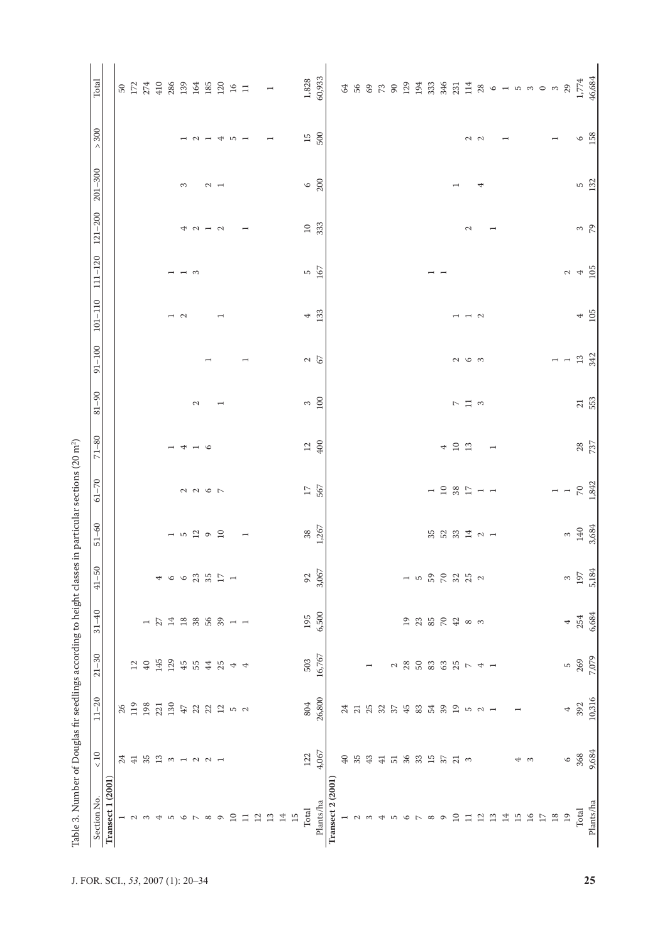| Section No.              | $<10$              | $11 - 20$                | $-30$<br>$\overline{21}$  | $-40$<br>$\overline{5}$    | $41 - 50$     | $51 - 60$                                                                                                                                                                                                                                                                                                   | $61 - 70$                                                                              | $71 - 80$    | $81 - 90$                           | $91 - 100$               | $101 - 110$              | $111 - 120$              | $121 - 200$                                               | $201 - 300$                             | $>300$        | Total                    |
|--------------------------|--------------------|--------------------------|---------------------------|----------------------------|---------------|-------------------------------------------------------------------------------------------------------------------------------------------------------------------------------------------------------------------------------------------------------------------------------------------------------------|----------------------------------------------------------------------------------------|--------------|-------------------------------------|--------------------------|--------------------------|--------------------------|-----------------------------------------------------------|-----------------------------------------|---------------|--------------------------|
| <b>Transect 1 (2001)</b> |                    |                          |                           |                            |               |                                                                                                                                                                                                                                                                                                             |                                                                                        |              |                                     |                          |                          |                          |                                                           |                                         |               |                          |
| $\overline{ }$           | 24                 | 26                       |                           |                            |               |                                                                                                                                                                                                                                                                                                             |                                                                                        |              |                                     |                          |                          |                          |                                                           |                                         |               |                          |
| 2<br>3                   | $\overline{41}$    | 119                      | $\overline{\mathfrak{c}}$ |                            |               |                                                                                                                                                                                                                                                                                                             |                                                                                        |              |                                     |                          |                          |                          |                                                           |                                         |               | $50$<br>$172$            |
|                          | $35$               | 198                      | $\rm 40$                  | $\overline{\phantom{a}}$   |               |                                                                                                                                                                                                                                                                                                             |                                                                                        |              |                                     |                          |                          |                          |                                                           |                                         |               | 274                      |
| $\overline{\bf 4}$       | $\frac{3}{3}$ $\,$ | 221                      | 145                       | $\overline{27}$            |               |                                                                                                                                                                                                                                                                                                             |                                                                                        |              |                                     |                          |                          |                          |                                                           |                                         |               | 410<br>286               |
| LO                       |                    | 130                      | 129                       | $14\,$                     | 40            |                                                                                                                                                                                                                                                                                                             |                                                                                        |              |                                     |                          | $\overline{ }$           |                          |                                                           |                                         |               |                          |
| $\circ$ $\sim$ $\infty$  | $-221$             | $47\,$                   | $45\,$                    |                            | $6 23 35 - 1$ | $\frac{1}{2}$                                                                                                                                                                                                                                                                                               |                                                                                        | ↔            |                                     |                          | $\sim$                   | $\overline{\phantom{0}}$ | 4                                                         | $\sim$                                  |               |                          |
|                          |                    |                          | 55                        |                            |               |                                                                                                                                                                                                                                                                                                             |                                                                                        |              | $\mathbb{C}^2$                      |                          |                          | S                        |                                                           |                                         | $\sim$        | 139<br>164<br>185        |
|                          |                    | $22$ $22$                | $\ddot{4}$                | 28888                      |               | $12$ $9$ $10$                                                                                                                                                                                                                                                                                               | $\begin{array}{ccc} \mathcal{O} & \mathcal{O} & \mathcal{O} & \mathcal{O} \end{array}$ | $\circ$      |                                     |                          |                          |                          | $\begin{array}{c} \mathcal{O} \\ \mathcal{O} \end{array}$ |                                         |               |                          |
| $\circ$                  |                    |                          | 25                        |                            |               |                                                                                                                                                                                                                                                                                                             |                                                                                        |              | $\overline{\phantom{0}}$            |                          | $\overline{\phantom{0}}$ |                          |                                                           | $\sim$ $\sim$                           | 4             | 120                      |
| $10$                     |                    | 52                       | ਵਿੰ                       | $-1$                       |               |                                                                                                                                                                                                                                                                                                             |                                                                                        |              |                                     |                          |                          |                          |                                                           |                                         | LO            | 16                       |
| $\Box$                   |                    |                          |                           |                            |               | $\overline{\phantom{0}}$                                                                                                                                                                                                                                                                                    |                                                                                        |              |                                     |                          |                          |                          |                                                           |                                         |               | $\overline{11}$          |
| $12\,$                   |                    |                          |                           |                            |               |                                                                                                                                                                                                                                                                                                             |                                                                                        |              |                                     |                          |                          |                          |                                                           |                                         |               |                          |
| $13$                     |                    |                          |                           |                            |               |                                                                                                                                                                                                                                                                                                             |                                                                                        |              |                                     |                          |                          |                          |                                                           |                                         |               | $\overline{\phantom{0}}$ |
| $14\,$                   |                    |                          |                           |                            |               |                                                                                                                                                                                                                                                                                                             |                                                                                        |              |                                     |                          |                          |                          |                                                           |                                         |               |                          |
| 15                       |                    |                          |                           |                            |               |                                                                                                                                                                                                                                                                                                             |                                                                                        |              |                                     |                          |                          |                          |                                                           |                                         |               |                          |
| Total                    | 122                | 804                      | 503                       | 195                        | 92            | $38\,$                                                                                                                                                                                                                                                                                                      | $\overline{\Box}$                                                                      | $12\,$       | $\infty$                            |                          | $\overline{\bf 4}$       |                          | $10\,$                                                    | $\circ$                                 | 15            | 1,828                    |
| Plants/ha                | 4,067              | 26,800                   | 16,767                    | 6,500                      | 3,067         | 1,267                                                                                                                                                                                                                                                                                                       | 567                                                                                    | 400          | 100                                 | $\frac{2}{6}$            | 133                      | $\frac{5}{167}$          | 333                                                       | 200                                     | 500           | 60,933                   |
| Transect 2 (2001)        |                    |                          |                           |                            |               |                                                                                                                                                                                                                                                                                                             |                                                                                        |              |                                     |                          |                          |                          |                                                           |                                         |               |                          |
|                          | $\rm 40$           | $\mathbb{Z}^4$           |                           |                            |               |                                                                                                                                                                                                                                                                                                             |                                                                                        |              |                                     |                          |                          |                          |                                                           |                                         |               |                          |
|                          | 35                 | 21                       |                           |                            |               |                                                                                                                                                                                                                                                                                                             |                                                                                        |              |                                     |                          |                          |                          |                                                           |                                         |               | 8807                     |
| $N$ $\omega$ 4           | $43\,$             | 25                       | $\overline{\phantom{a}}$  |                            |               |                                                                                                                                                                                                                                                                                                             |                                                                                        |              |                                     |                          |                          |                          |                                                           |                                         |               |                          |
|                          | $41$               | 32                       |                           |                            |               |                                                                                                                                                                                                                                                                                                             |                                                                                        |              |                                     |                          |                          |                          |                                                           |                                         |               |                          |
|                          | $\frac{51}{36}$    | $\overline{\mathcal{E}}$ |                           |                            |               |                                                                                                                                                                                                                                                                                                             |                                                                                        |              |                                     |                          |                          |                          |                                                           |                                         |               | 90                       |
| 50000                    |                    | $45$                     |                           | $\overline{19}$            |               |                                                                                                                                                                                                                                                                                                             |                                                                                        |              |                                     |                          |                          |                          |                                                           |                                         |               |                          |
|                          | $33 \t{15}$        | 83                       |                           | 23 <sub>85</sub>           |               |                                                                                                                                                                                                                                                                                                             |                                                                                        |              |                                     |                          |                          |                          |                                                           |                                         |               |                          |
|                          |                    | 54                       |                           |                            | 1587352       |                                                                                                                                                                                                                                                                                                             |                                                                                        |              |                                     |                          |                          |                          |                                                           |                                         |               |                          |
| $\circ$                  | 57                 | 39                       | 63                        |                            |               |                                                                                                                                                                                                                                                                                                             |                                                                                        | 4            |                                     |                          |                          |                          |                                                           |                                         |               |                          |
| 10                       | $\frac{21}{3}$     | $\overline{19}$          |                           |                            |               |                                                                                                                                                                                                                                                                                                             |                                                                                        | $10$         |                                     |                          |                          |                          |                                                           | $\overline{\phantom{0}}$                |               |                          |
| $\Box$                   |                    |                          |                           | $R \ncong \infty$ $\infty$ |               |                                                                                                                                                                                                                                                                                                             |                                                                                        | 13           | $\sim$ $\frac{1}{2}$ $\,$ $\,$ $\,$ | $\sim$ 6 $\sim$          | $-2$                     |                          | $\mathbb{C}^2$                                            |                                         | $\sim$ $\sim$ |                          |
| 12                       |                    | 521                      | $25$ $\sim$ 4 $-1$        |                            |               | $\begin{array}{ccc} 35 & 23 & 24 & 24 \\ 35 & 25 & 24 & 24 \\ 45 & 25 & 24 & 24 \\ 55 & 25 & 24 & 24 \\ 55 & 25 & 24 & 24 \\ 55 & 25 & 24 & 24 \\ 55 & 25 & 24 & 24 \\ 55 & 25 & 24 & 24 \\ 55 & 25 & 24 & 24 \\ 55 & 25 & 24 & 24 \\ 55 & 25 & 24 & 24 \\ 55 & 25 & 24 & 24 \\ 55 & 25 & 24 & 24 \\ 55 & $ |                                                                                        |              |                                     |                          |                          |                          |                                                           | 4                                       |               |                          |
| $13\,$                   |                    |                          |                           |                            |               |                                                                                                                                                                                                                                                                                                             |                                                                                        |              |                                     |                          |                          |                          |                                                           |                                         |               |                          |
| $14\,$                   |                    |                          |                           |                            |               |                                                                                                                                                                                                                                                                                                             |                                                                                        |              |                                     |                          |                          |                          |                                                           |                                         |               |                          |
| 15                       |                    |                          |                           |                            |               |                                                                                                                                                                                                                                                                                                             |                                                                                        |              |                                     |                          |                          |                          |                                                           |                                         |               |                          |
| 16                       | 4 ω                |                          |                           |                            |               |                                                                                                                                                                                                                                                                                                             |                                                                                        |              |                                     |                          |                          |                          |                                                           |                                         |               |                          |
| $\Gamma$                 |                    |                          |                           |                            |               |                                                                                                                                                                                                                                                                                                             |                                                                                        |              |                                     |                          |                          |                          |                                                           |                                         |               |                          |
| $18\,$                   |                    |                          |                           |                            |               |                                                                                                                                                                                                                                                                                                             |                                                                                        |              |                                     | $\overline{\phantom{0}}$ |                          |                          |                                                           |                                         |               |                          |
| 19                       | $\circ$            | 4                        | LO                        | 4                          | $\infty$      | $\frac{3}{140}$<br>3,684                                                                                                                                                                                                                                                                                    | $\frac{1}{70}$<br>$\frac{1}{1,842}$                                                    |              |                                     | $\overline{\phantom{a}}$ |                          |                          |                                                           |                                         |               |                          |
| Total                    | 368                | 392                      | 269                       | 254                        | 197           |                                                                                                                                                                                                                                                                                                             |                                                                                        |              |                                     |                          |                          | $\frac{4}{105}$          | $\frac{3}{2}$                                             |                                         |               |                          |
| Plants/ha                | 9,684              | 10,316                   | 7,079                     | 6,684                      | 5,184         |                                                                                                                                                                                                                                                                                                             |                                                                                        | $28\,$ $737$ | $\frac{21}{553}$                    | $13$<br>$342$            | $\frac{4}{105}$          |                          |                                                           | $\begin{array}{c} 5 \\ 132 \end{array}$ | $6\atop 158$  |                          |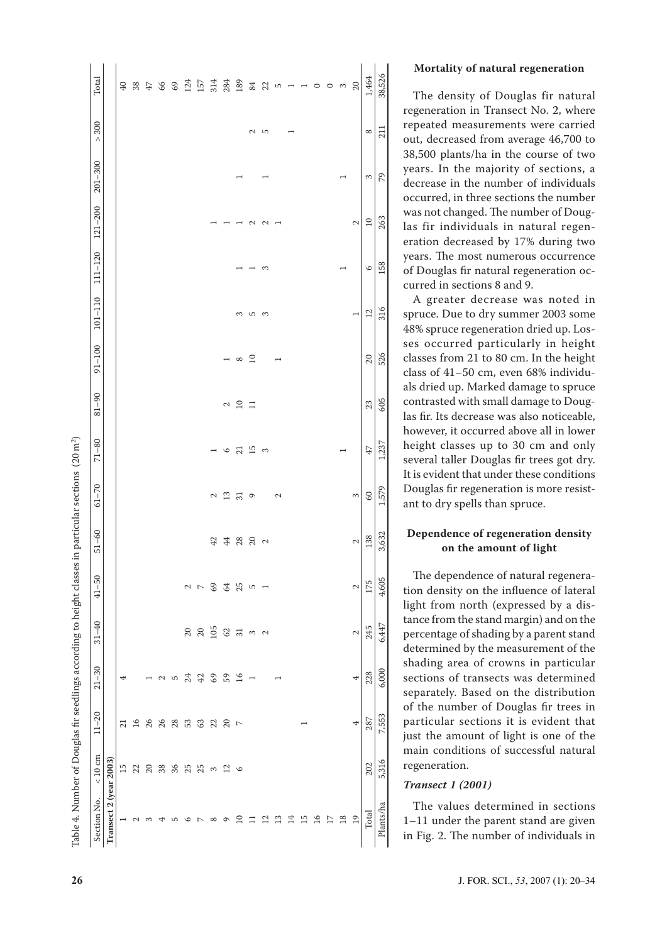| ì                    |
|----------------------|
| Ï                    |
| Ì<br>l               |
|                      |
|                      |
|                      |
| $\ddot{\zeta}$<br>i  |
| l                    |
|                      |
| i<br>i               |
|                      |
|                      |
|                      |
|                      |
|                      |
|                      |
|                      |
| Ĭ                    |
|                      |
| $\ddot{\bm{z}}$<br>ı |
|                      |
|                      |
|                      |
|                      |
| j<br>I               |
|                      |
|                      |
|                      |
|                      |
|                      |
| ミ                    |
|                      |
|                      |
|                      |
| こうしゅう ちょうこうこう こうりこて  |
|                      |
|                      |
| i                    |
|                      |
|                      |
| ł                    |
| l                    |
| l                    |
|                      |
|                      |
|                      |
|                      |
| į                    |
|                      |
|                      |
|                      |
|                      |
|                      |
|                      |
|                      |
|                      |
|                      |
|                      |
| ׇ֚֬֡                 |
|                      |
|                      |
| I<br>I               |
| l                    |
|                      |
|                      |
|                      |
|                      |
|                      |
|                      |
|                      |
| $\overline{a}$<br>֕  |
|                      |
| Í                    |
| ¢<br>l               |
| ׇ֧֜                  |

|                            |   |  |  |                                         |     |                               |                                       |                 |           |              |  |  |    |               |                |                 | Mortality of natural regeneration                                                      |
|----------------------------|---|--|--|-----------------------------------------|-----|-------------------------------|---------------------------------------|-----------------|-----------|--------------|--|--|----|---------------|----------------|-----------------|----------------------------------------------------------------------------------------|
| Total                      |   |  |  | 48. 468以15, 48. 28. 38. 29. 41. 60. 52. |     |                               |                                       |                 |           |              |  |  |    |               | 1,464          | 38,526          | The density of Douglas fir natural                                                     |
| 300                        |   |  |  |                                         |     |                               |                                       |                 |           |              |  |  |    |               | ${}^{\circ}$   |                 | regeneration in Transect No. 2, where<br>repeated measurements were carried            |
|                            |   |  |  |                                         |     |                               |                                       |                 | $\sim$ 10 |              |  |  |    |               |                | 211             | out, decreased from average 46,700 to                                                  |
|                            |   |  |  |                                         |     |                               |                                       |                 |           |              |  |  |    |               |                |                 | 38,500 plants/ha in the course of two<br>years. In the majority of sections, a         |
| $201 - 300$                |   |  |  |                                         |     |                               |                                       |                 |           |              |  |  |    |               | $\sim$         | $\overline{7}9$ | decrease in the number of individuals<br>occurred, in three sections the number        |
|                            |   |  |  |                                         |     |                               |                                       |                 |           |              |  |  |    |               |                |                 | was not changed. The number of Doug-                                                   |
| $121 - 200$                |   |  |  |                                         |     |                               |                                       |                 |           |              |  |  |    | $\mathcal{L}$ | $10$           | 263             | las fir individuals in natural regen-                                                  |
|                            |   |  |  |                                         |     |                               |                                       |                 |           |              |  |  |    |               |                |                 | eration decreased by 17% during two<br>years. The most numerous occurrence             |
| $111 - 120$                |   |  |  |                                         |     |                               |                                       |                 |           |              |  |  |    |               | $\circ$        | 158             | of Douglas fir natural regeneration oc-                                                |
|                            |   |  |  |                                         |     |                               |                                       |                 |           |              |  |  |    |               |                |                 | curred in sections 8 and 9.<br>A greater decrease was noted in                         |
| $-110$<br>101              |   |  |  |                                         |     |                               |                                       | m in m          |           |              |  |  |    |               | $12\,$         | 316             | spruce. Due to dry summer 2003 some                                                    |
|                            |   |  |  |                                         |     |                               |                                       |                 |           |              |  |  |    |               |                |                 | 48% spruce regeneration dried up. Los-<br>ses occurred particularly in height          |
| $91 - 100$                 |   |  |  |                                         |     |                               | ${}^{\circ}$                          | $\Xi$           |           |              |  |  |    |               | 20             | 526             | classes from 21 to 80 cm. In the height<br>class of 41-50 cm, even 68% individu-       |
|                            |   |  |  |                                         |     |                               |                                       |                 |           |              |  |  |    |               |                |                 | als dried up. Marked damage to spruce                                                  |
| $81 - 90$                  |   |  |  |                                         |     |                               | $\begin{array}{c} 2 \\ 1 \end{array}$ |                 |           |              |  |  |    |               | $23\,$         | 605             | contrasted with small damage to Doug-                                                  |
|                            |   |  |  |                                         |     |                               |                                       |                 |           |              |  |  |    |               |                |                 | las fir. Its decrease was also noticeable,<br>however, it occurred above all in lower  |
| 80                         |   |  |  |                                         |     | $\circ$                       | $\overline{z}$                        | $\overline{15}$ |           |              |  |  |    |               | $47\,$         | 1,237           | height classes up to 30 cm and only                                                    |
|                            |   |  |  |                                         |     |                               |                                       |                 |           |              |  |  |    |               |                |                 | several taller Douglas fir trees got dry.<br>It is evident that under these conditions |
| $-70$                      |   |  |  |                                         |     | $\frac{2}{13}$ $\frac{1}{21}$ |                                       | $\circ$         |           | $\mathbf{C}$ |  |  |    | 3             | $\rm 60$       | 1,579           | Douglas fir regeneration is more resist-                                               |
| $\overline{61}$            |   |  |  |                                         |     |                               |                                       |                 |           |              |  |  |    |               |                |                 | ant to dry spells than spruce.                                                         |
| $51 - 60$                  |   |  |  |                                         | GB. | 44                            | 28                                    | $20$ $\alpha$   |           |              |  |  |    | $\mathbf{C}$  | 138            | ,632<br>က်      | Dependence of regeneration density<br>on the amount of light                           |
| $-50$                      |   |  |  |                                         |     |                               |                                       |                 |           |              |  |  |    |               |                |                 | The dependence of natural regenera-                                                    |
| $\overline{41}$            |   |  |  | 2704%51                                 |     |                               |                                       |                 |           |              |  |  |    | $\mathcal{L}$ | 175            | 4,605           | tion density on the influence of lateral<br>light from north (expressed by a dis-      |
|                            |   |  |  |                                         |     |                               |                                       |                 |           |              |  |  |    |               |                |                 | tance from the stand margin) and on the                                                |
| ಸ                          |   |  |  | 2253333                                 |     |                               |                                       |                 |           |              |  |  |    | $\mathcal{L}$ | 245            | 6,447           | percentage of shading by a parent stand<br>determined by the measurement of the        |
|                            |   |  |  |                                         |     |                               |                                       |                 |           |              |  |  |    |               |                |                 | shading area of crowns in particular                                                   |
| $-30$<br>$\overline{21}$   | 4 |  |  | 125 21 31 8 8 19 1                      |     |                               |                                       |                 |           |              |  |  |    | 4             | 228            | 6,000           | sections of transects was determined<br>separately. Based on the distribution          |
|                            |   |  |  |                                         |     |                               |                                       |                 |           |              |  |  |    |               |                |                 | of the number of Douglas fir trees in                                                  |
| $-20$                      |   |  |  | 3 1 2 3 3 3 5 6 9 3 2 5                 |     |                               |                                       |                 |           |              |  |  |    | 4             | 287            | 7,553           | particular sections it is evident that<br>just the amount of light is one of the       |
|                            |   |  |  |                                         |     |                               |                                       |                 |           |              |  |  |    |               |                |                 | main conditions of successful natural                                                  |
| $10\,\mathrm{cm}$<br>2003) |   |  |  |                                         |     |                               |                                       |                 |           |              |  |  |    |               | 202            | 5,316           | regeneration.                                                                          |
| $2$ (year                  |   |  |  |                                         |     |                               |                                       |                 |           |              |  |  |    |               |                |                 | <b>Transect 1 (2001)</b>                                                               |
| Section No.<br>Transect    |   |  |  | 123456789 1 1 1 1 1 1 1 1 2 1           |     |                               |                                       |                 |           |              |  |  | 18 | 19            | $_{\rm Total}$ | ants/ha         | The values determined in sections<br>1-11 under the parent stand are given             |
|                            |   |  |  |                                         |     |                               |                                       |                 |           |              |  |  |    |               |                | Ξ               | in Fig. 2. The number of individuals in                                                |

#### **Mortality of natural regeneration**

## **Dependence of regeneration density on the amount of light**

### *Transect 1 (2001)*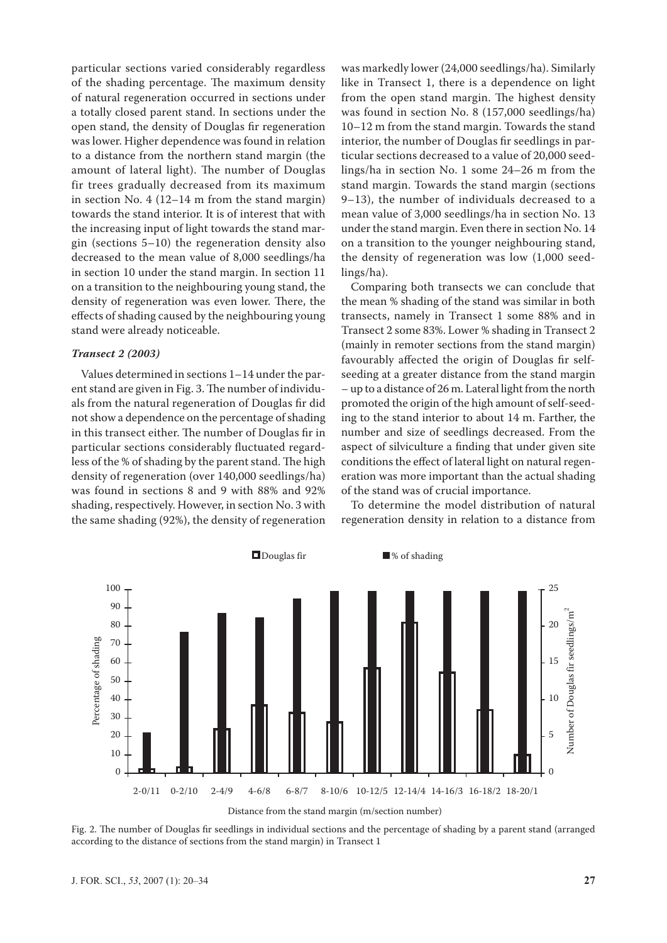particular sections varied considerably regardless of the shading percentage. The maximum density of natural regeneration occurred in sections under a totally closed parent stand. In sections under the open stand, the density of Douglas fir regeneration was lower. Higher dependence was found in relation to a distance from the northern stand margin (the amount of lateral light). The number of Douglas fir trees gradually decreased from its maximum in section No. 4 (12–14 m from the stand margin) towards the stand interior. It is of interest that with the increasing input of light towards the stand margin (sections 5–10) the regeneration density also decreased to the mean value of 8,000 seedlings/ha in section 10 under the stand margin. In section 11 on a transition to the neighbouring young stand, the density of regeneration was even lower. There, the effects of shading caused by the neighbouring young stand were already noticeable.

## *Transect 2 (2003)*

Values determined in sections 1–14 under the parent stand are given in Fig. 3. The number of individuals from the natural regeneration of Douglas fir did not show a dependence on the percentage of shading in this transect either. The number of Douglas fir in particular sections considerably fluctuated regardless of the % of shading by the parent stand. The high density of regeneration (over 140,000 seedlings/ha) was found in sections 8 and 9 with 88% and 92% shading, respectively. However, in section No. 3 with the same shading (92%), the density of regeneration was markedly lower (24,000 seedlings/ha). Similarly like in Transect 1, there is a dependence on light from the open stand margin. The highest density was found in section No. 8 (157,000 seedlings/ha) 10–12 m from the stand margin. Towards the stand interior, the number of Douglas fir seedlings in particular sections decreased to a value of 20,000 seedlings/ha in section No. 1 some 24–26 m from the stand margin. Towards the stand margin (sections 9–13), the number of individuals decreased to a mean value of 3,000 seedlings/ha in section No. 13 under the stand margin. Even there in section No. 14 on a transition to the younger neighbouring stand, the density of regeneration was low (1,000 seedlings/ha).

Comparing both transects we can conclude that the mean % shading of the stand was similar in both transects, namely in Transect 1 some 88% and in Transect 2 some 83%. Lower % shading in Transect 2 (mainly in remoter sections from the stand margin) favourably affected the origin of Douglas fir selfseeding at a greater distance from the stand margin – up to a distance of 26 m. Lateral light from the north promoted the origin of the high amount of self-seeding to the stand interior to about 14 m. Farther, the number and size of seedlings decreased. From the aspect of silviculture a finding that under given site conditions the effect of lateral light on natural regeneration was more important than the actual shading of the stand was of crucial importance.

To determine the model distribution of natural regeneration density in relation to a distance from



Distance from the stand margin (m/section number)

Fig. 2. The number of Douglas fir seedlings in individual sections and the percentage of shading by a parent stand (arranged according to the distance of sections from the stand margin) in Transect 1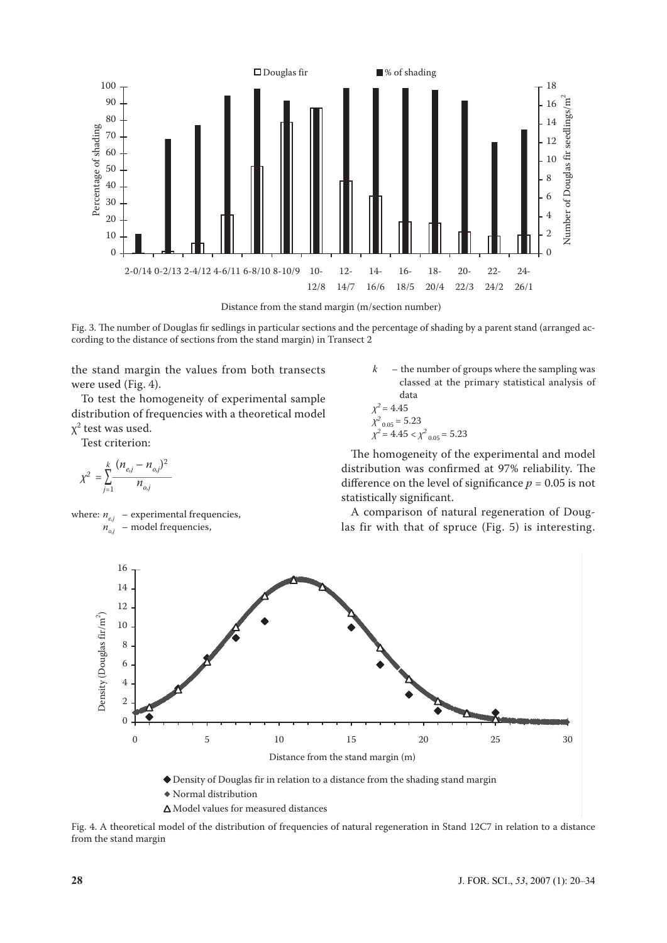

Fig. 3. The number of Douglas fir sedlings in particular sections and the percentage of shading by a parent stand (arranged according to the distance of sections from the stand margin) in Transect 2

the stand margin the values from both transects were used (Fig. 4).

To test the homogeneity of experimental sample distribution of frequencies with a theoretical model  $\chi^2$  test was used.

Test criterion:

$$
\chi^2 = \sum_{j=1}^k \frac{(n_{e,j} - n_{o,j})^2}{n_{o,j}}
$$

where:  $n_{e,i}$  – experimental frequencies,  $n_{o,i}$  – model frequencies,

 $k -$  the number of groups where the sampling was classed at the primary statistical analysis of data

$$
\chi^2 = 4.45
$$
  
\n
$$
\chi^2_{0.05} = 5.23
$$
  
\n
$$
\chi^2 = 4.45 < \chi^2_{0.05} = 5.23
$$

The homogeneity of the experimental and model distribution was confirmed at 97% reliability. The difference on the level of significance  $p = 0.05$  is not statistically significant.

A comparison of natural regeneration of Douglas fir with that of spruce (Fig. 5) is interesting.



Density of Douglas fir in relation to a distance from the shading stand margin

Normal distribution

Model values for measured distances

Fig. 4. A theoretical model of the distribution of frequencies of natural regeneration in Stand 12C7 in relation to a distance from the stand margin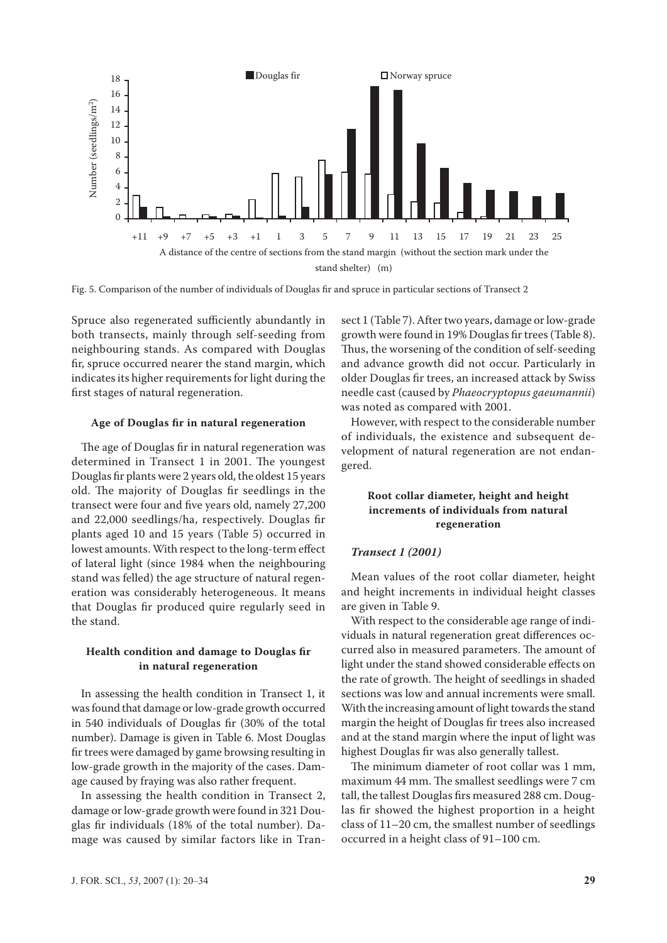

Spruce also regenerated sufficiently abundantly in both transects, mainly through self-seeding from neighbouring stands. As compared with Douglas fir, spruce occurred nearer the stand margin, which indicates its higher requirements for light during the first stages of natural regeneration.

#### **Age of Douglas fir in natural regeneration**

The age of Douglas fir in natural regeneration was determined in Transect 1 in 2001. The youngest Douglas fir plants were 2 years old, the oldest 15 years old. The majority of Douglas fir seedlings in the transect were four and five years old, namely 27,200 and 22,000 seedlings/ha, respectively. Douglas fir plants aged 10 and 15 years (Table 5) occurred in lowest amounts. With respect to the long-term effect of lateral light (since 1984 when the neighbouring stand was felled) the age structure of natural regeneration was considerably heterogeneous. It means that Douglas fir produced quire regularly seed in the stand.

### **Health condition and damage to Douglas fir in natural regeneration**

In assessing the health condition in Transect 1, it was found that damage or low-grade growth occurred in 540 individuals of Douglas fir (30% of the total number). Damage is given in Table 6. Most Douglas fir trees were damaged by game browsing resulting in low-grade growth in the majority of the cases. Damage caused by fraying was also rather frequent.

In assessing the health condition in Transect 2, damage or low-grade growth were found in 321 Douglas fir individuals (18% of the total number). Damage was caused by similar factors like in Tran-

sect 1 (Table 7). After two years, damage or low-grade growth were found in 19% Douglas fir trees (Table 8). Thus, the worsening of the condition of self-seeding and advance growth did not occur. Particularly in older Douglas fir trees, an increased attack by Swiss needle cast (caused by *Phaeocryptopus gaeumannii*) was noted as compared with 2001.

However, with respect to the considerable number of individuals, the existence and subsequent development of natural regeneration are not endangered.

## **Root collar diameter, height and height increments of individuals from natural regeneration**

#### *Transect 1 (2001)*

Mean values of the root collar diameter, height and height increments in individual height classes are given in Table 9.

With respect to the considerable age range of individuals in natural regeneration great differences occurred also in measured parameters. The amount of light under the stand showed considerable effects on the rate of growth. The height of seedlings in shaded sections was low and annual increments were small. With the increasing amount of light towards the stand margin the height of Douglas fir trees also increased and at the stand margin where the input of light was highest Douglas fir was also generally tallest.

The minimum diameter of root collar was 1 mm, maximum 44 mm. The smallest seedlings were 7 cm tall, the tallest Douglas firs measured 288 cm. Douglas fir showed the highest proportion in a height class of 11–20 cm, the smallest number of seedlings occurred in a height class of 91–100 cm.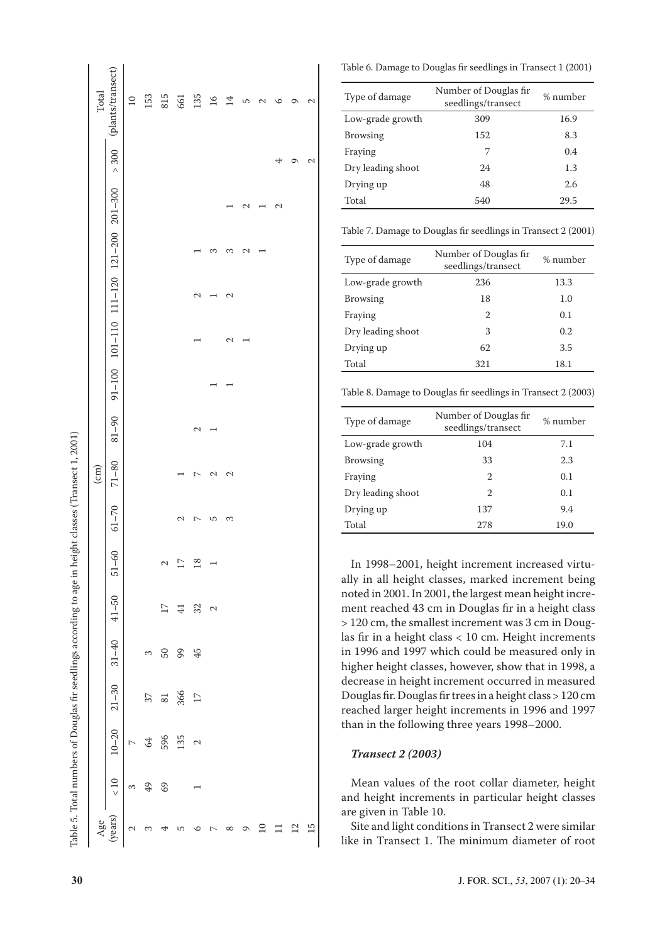| I<br>J<br>י<br>j<br>I         |  |
|-------------------------------|--|
| ļ<br>$\frac{1}{2}$            |  |
| i<br>1<br>1<br>1<br>i         |  |
| ١<br>$\frac{1}{2}$            |  |
| í<br>$\overline{\phantom{a}}$ |  |
| $\ddotsc$<br>ļ<br>ļ<br>י      |  |
| I                             |  |

|                   |       |                  |                                                   |           |                   |                          |   | $\binom{cm}{ }$    |   |                    |   |        |                    |                   | Total                                                                                                     |
|-------------------|-------|------------------|---------------------------------------------------|-----------|-------------------|--------------------------|---|--------------------|---|--------------------|---|--------|--------------------|-------------------|-----------------------------------------------------------------------------------------------------------|
| Age<br>years)     | $<10$ | $10 - 20$        | $21 - 30$                                         | $31 - 40$ | $41 - 50$         |                          |   |                    |   |                    |   |        |                    |                   | $51-60$ $61-70$ $71-80$ $81-90$ $91-100$ $101-110$ $111-120$ $121-200$ $201-300$ $>300$ (plants/transect) |
| $\mathbf{\Omega}$ | 3     | $\triangleright$ |                                                   |           |                   |                          |   |                    |   |                    |   |        |                    |                   | $\overline{10}$                                                                                           |
| 3                 | 49    |                  |                                                   | 3         |                   |                          |   |                    |   |                    |   |        |                    |                   | 153                                                                                                       |
|                   | 69    | $646$ $130$ $2$  | $\begin{array}{c} 57 \\ 81 \\ 366 \\ \end{array}$ | $50\,$    | $\overline{17}$   | $\sim$                   |   |                    |   |                    |   |        |                    |                   | 815                                                                                                       |
| S                 |       |                  |                                                   | 99        |                   | $\Box$                   | c |                    |   |                    |   |        |                    |                   | 661                                                                                                       |
| $\circ$           |       |                  |                                                   | 45        | $\frac{41}{32}$ 2 | 18                       | c |                    | 2 |                    | 2 |        |                    |                   | 135                                                                                                       |
| $\sim$            |       |                  |                                                   |           |                   | $\overline{\phantom{0}}$ | ഥ | $\scriptstyle\sim$ |   |                    |   |        |                    |                   | $\frac{16}{1}$                                                                                            |
| ${}^{\circ}$      |       |                  |                                                   |           |                   |                          | ξ | $\mathbf{\sim}$    |   | $\scriptstyle\sim$ | 2 |        |                    |                   | 14                                                                                                        |
| 9                 |       |                  |                                                   |           |                   |                          |   |                    |   |                    |   | с<br>J |                    |                   | 5                                                                                                         |
| $\overline{10}$   |       |                  |                                                   |           |                   |                          |   |                    |   |                    |   |        |                    |                   | 2                                                                                                         |
| $\Xi$             |       |                  |                                                   |           |                   |                          |   |                    |   |                    |   |        | $\scriptstyle\sim$ |                   | ৩                                                                                                         |
| 12                |       |                  |                                                   |           |                   |                          |   |                    |   |                    |   |        |                    | ത                 | െ                                                                                                         |
| 15                |       |                  |                                                   |           |                   |                          |   |                    |   |                    |   |        |                    | $\mathbf{\Omega}$ | 2                                                                                                         |
|                   |       |                  |                                                   |           |                   |                          |   |                    |   |                    |   |        |                    |                   |                                                                                                           |

Table 6. Damage to Douglas fir seedlings in transect 1 (2001)

| Type of damage    | Number of Douglas fir<br>seedlings/transect | % number |
|-------------------|---------------------------------------------|----------|
| Low-grade growth  | 309                                         | 16.9     |
| <b>Browsing</b>   | 152                                         | 8.3      |
| Fraying           | 7                                           | 0.4      |
| Dry leading shoot | 24                                          | 1.3      |
| Drying up         | 48                                          | 2.6      |
| Total             | 540                                         | 29.5     |

Table 7. Damage to Douglas fir seedlings in Transect 2 (2001)

| Type of damage    | Number of Douglas fir<br>seedlings/transect | % number         |
|-------------------|---------------------------------------------|------------------|
| Low-grade growth  | 236                                         | 13.3             |
| <b>Browsing</b>   | 18                                          | 1.0              |
| Fraying           | 2                                           | 0.1              |
| Dry leading shoot | 3                                           | 0.2 <sub>1</sub> |
| Drying up         | 62                                          | 3.5              |
| Total             | 321                                         | 18.1             |

Table 8. Damage to Douglas fir seedlings in Transect 2 (2003)

| Type of damage    | Number of Douglas fir<br>seedlings/transect | % number |
|-------------------|---------------------------------------------|----------|
| Low-grade growth  | 104                                         | 7.1      |
| <b>Browsing</b>   | 33                                          | 2.3      |
| Fraying           | $\mathfrak{D}$                              | 0.1      |
| Dry leading shoot | 2                                           | 0.1      |
| Drying up         | 137                                         | 9.4      |
| Total             | 278                                         | 19.0     |

In 1998–2001, height increment increased virtu ally in all height classes, marked increment being noted in 2001. In 2001, the largest mean height incre ment reached 43 cm in Douglas fir in a height class > 120 cm, the smallest increment was 3 cm in Doug las fir in a height class < 10 cm. Height increments in 1996 and 1997 which could be measured only in higher height classes, however, show that in 1998, a decrease in height increment occurred in measured Douglas fir. Douglas fir trees in a height class > 120 cm reached larger height increments in 1996 and 1997 than in the following three years 1998–2000.

## *Transect 2 (2003)*

Mean values of the root collar diameter, height and height increments in particular height classes are given in Table 10.

Site and light conditions in Transect 2 were similar like in Transect 1. The minimum diameter of root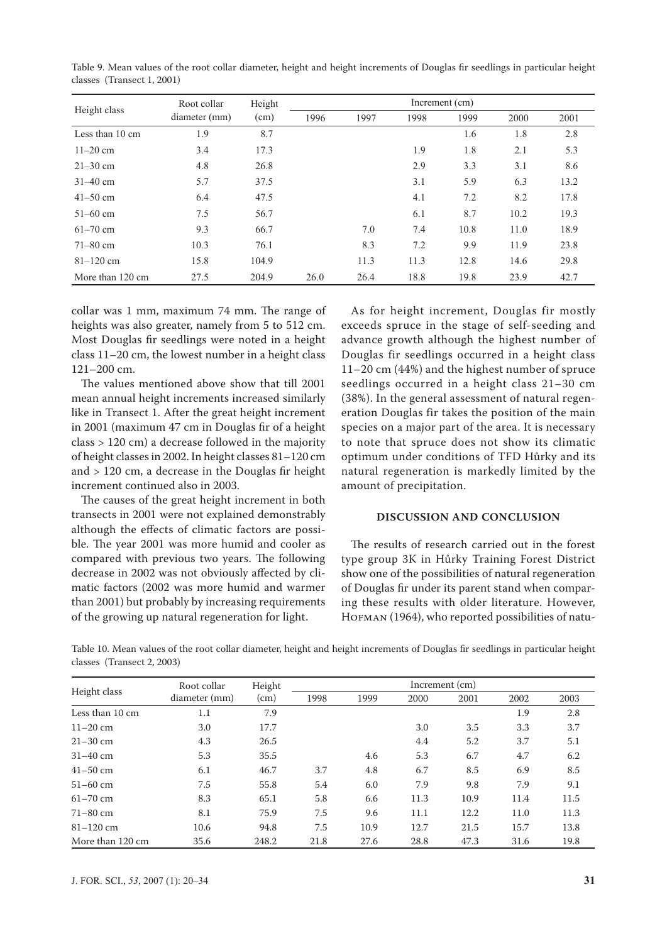|                  | Root collar   | Height |      |      |      | Increment (cm) |      |      |
|------------------|---------------|--------|------|------|------|----------------|------|------|
| Height class     | diameter (mm) | (cm)   | 1996 | 1997 | 1998 | 1999           | 2000 | 2001 |
| Less than 10 cm  | 1.9           | 8.7    |      |      |      | 1.6            | 1.8  | 2.8  |
| $11 - 20$ cm     | 3.4           | 17.3   |      |      | 1.9  | 1.8            | 2.1  | 5.3  |
| $21 - 30$ cm     | 4.8           | 26.8   |      |      | 2.9  | 3.3            | 3.1  | 8.6  |
| $31 - 40$ cm     | 5.7           | 37.5   |      |      | 3.1  | 5.9            | 6.3  | 13.2 |
| $41 - 50$ cm     | 6.4           | 47.5   |      |      | 4.1  | 7.2            | 8.2  | 17.8 |
| $51-60$ cm       | 7.5           | 56.7   |      |      | 6.1  | 8.7            | 10.2 | 19.3 |
| $61 - 70$ cm     | 9.3           | 66.7   |      | 7.0  | 7.4  | 10.8           | 11.0 | 18.9 |
| $71 - 80$ cm     | 10.3          | 76.1   |      | 8.3  | 7.2  | 9.9            | 11.9 | 23.8 |
| $81 - 120$ cm    | 15.8          | 104.9  |      | 11.3 | 11.3 | 12.8           | 14.6 | 29.8 |
| More than 120 cm | 27.5          | 204.9  | 26.0 | 26.4 | 18.8 | 19.8           | 23.9 | 42.7 |

Table 9. Mean values of the root collar diameter, height and height increments of Douglas fir seedlings in particular height classes (Transect 1, 2001)

collar was 1 mm, maximum 74 mm. The range of heights was also greater, namely from 5 to 512 cm. Most Douglas fir seedlings were noted in a height class 11–20 cm, the lowest number in a height class  $121 - 200$  cm.

The values mentioned above show that till 2001 mean annual height increments increased similarly like in Transect 1. After the great height increment in 2001 (maximum 47 cm in Douglas fir of a height class > 120 cm) a decrease followed in the majority of height classes in 2002. In height classes 81–120 cm and > 120 cm, a decrease in the Douglas fir height increment continued also in 2003.

The causes of the great height increment in both transects in 2001 were not explained demonstrably although the effects of climatic factors are possible. The year 2001 was more humid and cooler as compared with previous two years. The following decrease in 2002 was not obviously affected by climatic factors (2002 was more humid and warmer than 2001) but probably by increasing requirements of the growing up natural regeneration for light.

As for height increment, Douglas fir mostly exceeds spruce in the stage of self-seeding and advance growth although the highest number of Douglas fir seedlings occurred in a height class 11–20 cm (44%) and the highest number of spruce seedlings occurred in a height class 21–30 cm (38%). In the general assessment of natural regeneration Douglas fir takes the position of the main species on a major part of the area. It is necessary to note that spruce does not show its climatic optimum under conditions of TFD Hůrky and its natural regeneration is markedly limited by the amount of precipitation.

## **Discussion and conclusion**

The results of research carried out in the forest type group 3K in Hůrky Training Forest District show one of the possibilities of natural regeneration of Douglas fir under its parent stand when comparing these results with older literature. However, HOFMAN (1964), who reported possibilities of natu-

Table 10. Mean values of the root collar diameter, height and height increments of Douglas fir seedlings in particular height classes (Transect 2, 2003)

|                  | Root collar   | Height |      |      |      | Increment (cm) |      |      |
|------------------|---------------|--------|------|------|------|----------------|------|------|
| Height class     | diameter (mm) | (cm)   | 1998 | 1999 | 2000 | 2001           | 2002 | 2003 |
| Less than 10 cm  | 1.1           | 7.9    |      |      |      |                | 1.9  | 2.8  |
| $11 - 20$ cm     | 3.0           | 17.7   |      |      | 3.0  | 3.5            | 3.3  | 3.7  |
| $21 - 30$ cm     | 4.3           | 26.5   |      |      | 4.4  | 5.2            | 3.7  | 5.1  |
| $31 - 40$ cm     | 5.3           | 35.5   |      | 4.6  | 5.3  | 6.7            | 4.7  | 6.2  |
| $41 - 50$ cm     | 6.1           | 46.7   | 3.7  | 4.8  | 6.7  | 8.5            | 6.9  | 8.5  |
| $51-60$ cm       | 7.5           | 55.8   | 5.4  | 6.0  | 7.9  | 9.8            | 7.9  | 9.1  |
| $61 - 70$ cm     | 8.3           | 65.1   | 5.8  | 6.6  | 11.3 | 10.9           | 11.4 | 11.5 |
| $71 - 80$ cm     | 8.1           | 75.9   | 7.5  | 9.6  | 11.1 | 12.2           | 11.0 | 11.3 |
| $81 - 120$ cm    | 10.6          | 94.8   | 7.5  | 10.9 | 12.7 | 21.5           | 15.7 | 13.8 |
| More than 120 cm | 35.6          | 248.2  | 21.8 | 27.6 | 28.8 | 47.3           | 31.6 | 19.8 |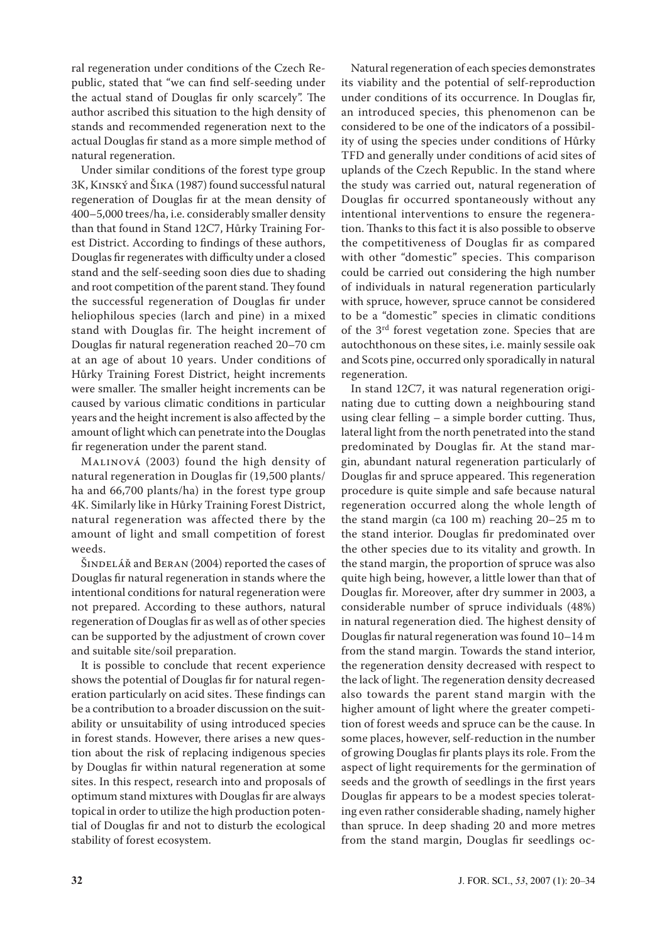ral regeneration under conditions of the Czech Republic, stated that "we can find self-seeding under the actual stand of Douglas fir only scarcely". The author ascribed this situation to the high density of stands and recommended regeneration next to the actual Douglas fir stand as a more simple method of natural regeneration.

Under similar conditions of the forest type group 3K, Kinský and Šika (1987) found successful natural regeneration of Douglas fir at the mean density of 400–5,000 trees/ha, i.e. considerably smaller density than that found in Stand 12C7, Hůrky Training Forest District. According to findings of these authors, Douglas fir regenerates with difficulty under a closed stand and the self-seeding soon dies due to shading and root competition of the parent stand. They found the successful regeneration of Douglas fir under heliophilous species (larch and pine) in a mixed stand with Douglas fir. The height increment of Douglas fir natural regeneration reached 20–70 cm at an age of about 10 years. Under conditions of Hůrky Training Forest District, height increments were smaller. The smaller height increments can be caused by various climatic conditions in particular years and the height increment is also affected by the amount of light which can penetrate into the Douglas fir regeneration under the parent stand.

Malinová (2003) found the high density of natural regeneration in Douglas fir (19,500 plants/ ha and 66,700 plants/ha) in the forest type group 4K. Similarly like in Hůrky Training Forest District, natural regeneration was affected there by the amount of light and small competition of forest weeds.

ŠINDELÁŘ and BERAN (2004) reported the cases of Douglas fir natural regeneration in stands where the intentional conditions for natural regeneration were not prepared. According to these authors, natural regeneration of Douglas fir as well as of other species can be supported by the adjustment of crown cover and suitable site/soil preparation.

It is possible to conclude that recent experience shows the potential of Douglas fir for natural regeneration particularly on acid sites. These findings can be a contribution to a broader discussion on the suitability or unsuitability of using introduced species in forest stands. However, there arises a new question about the risk of replacing indigenous species by Douglas fir within natural regeneration at some sites. In this respect, research into and proposals of optimum stand mixtures with Douglas fir are always topical in order to utilize the high production potential of Douglas fir and not to disturb the ecological stability of forest ecosystem.

Natural regeneration of each species demonstrates its viability and the potential of self-reproduction under conditions of its occurrence. In Douglas fir, an introduced species, this phenomenon can be considered to be one of the indicators of a possibility of using the species under conditions of Hůrky TFD and generally under conditions of acid sites of uplands of the Czech Republic. In the stand where the study was carried out, natural regeneration of Douglas fir occurred spontaneously without any intentional interventions to ensure the regeneration. Thanks to this fact it is also possible to observe the competitiveness of Douglas fir as compared with other "domestic" species. This comparison could be carried out considering the high number of individuals in natural regeneration particularly with spruce, however, spruce cannot be considered to be a "domestic" species in climatic conditions of the 3rd forest vegetation zone. Species that are autochthonous on these sites, i.e. mainly sessile oak and Scots pine, occurred only sporadically in natural regeneration.

In stand 12C7, it was natural regeneration originating due to cutting down a neighbouring stand using clear felling – a simple border cutting. Thus, lateral light from the north penetrated into the stand predominated by Douglas fir. At the stand margin, abundant natural regeneration particularly of Douglas fir and spruce appeared. This regeneration procedure is quite simple and safe because natural regeneration occurred along the whole length of the stand margin (ca 100 m) reaching 20–25 m to the stand interior. Douglas fir predominated over the other species due to its vitality and growth. In the stand margin, the proportion of spruce was also quite high being, however, a little lower than that of Douglas fir. Moreover, after dry summer in 2003, a considerable number of spruce individuals (48%) in natural regeneration died. The highest density of Douglas fir natural regeneration was found 10–14 m from the stand margin. Towards the stand interior, the regeneration density decreased with respect to the lack of light. The regeneration density decreased also towards the parent stand margin with the higher amount of light where the greater competition of forest weeds and spruce can be the cause. In some places, however, self-reduction in the number of growing Douglas fir plants plays its role. From the aspect of light requirements for the germination of seeds and the growth of seedlings in the first years Douglas fir appears to be a modest species tolerating even rather considerable shading, namely higher than spruce. In deep shading 20 and more metres from the stand margin, Douglas fir seedlings oc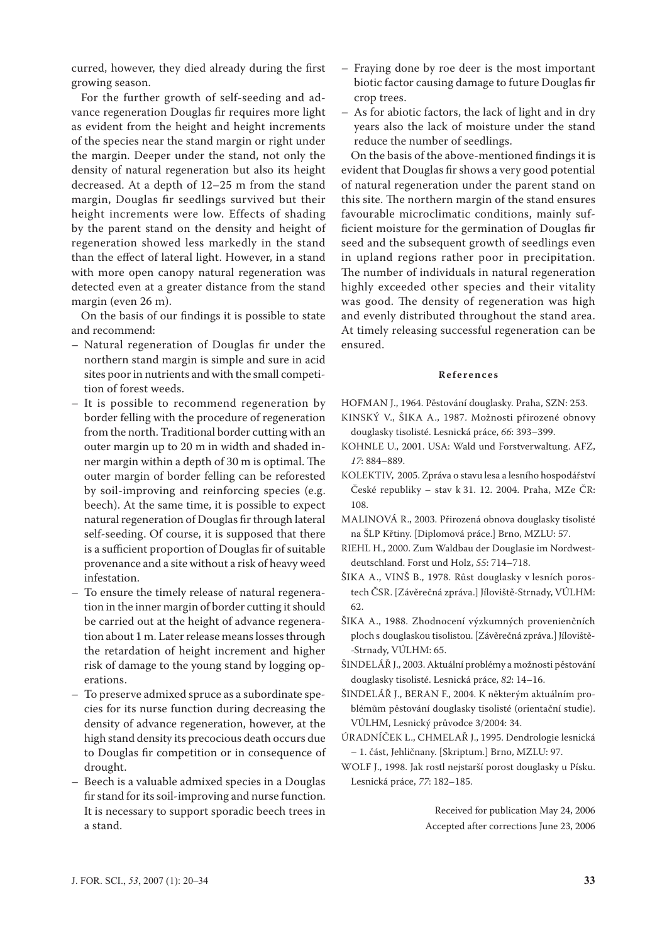curred, however, they died already during the first growing season.

For the further growth of self-seeding and advance regeneration Douglas fir requires more light as evident from the height and height increments of the species near the stand margin or right under the margin. Deeper under the stand, not only the density of natural regeneration but also its height decreased. At a depth of 12–25 m from the stand margin, Douglas fir seedlings survived but their height increments were low. Effects of shading by the parent stand on the density and height of regeneration showed less markedly in the stand than the effect of lateral light. However, in a stand with more open canopy natural regeneration was detected even at a greater distance from the stand margin (even 26 m).

On the basis of our findings it is possible to state and recommend:

- Natural regeneration of Douglas fir under the northern stand margin is simple and sure in acid sites poor in nutrients and with the small competition of forest weeds.
- It is possible to recommend regeneration by border felling with the procedure of regeneration from the north. Traditional border cutting with an outer margin up to 20 m in width and shaded inner margin within a depth of 30 m is optimal. The outer margin of border felling can be reforested by soil-improving and reinforcing species (e.g. beech). At the same time, it is possible to expect natural regeneration of Douglas fir through lateral self-seeding. Of course, it is supposed that there is a sufficient proportion of Douglas fir of suitable provenance and a site without a risk of heavy weed infestation.
- To ensure the timely release of natural regeneration in the inner margin of border cutting it should be carried out at the height of advance regeneration about 1 m. Later release means losses through the retardation of height increment and higher risk of damage to the young stand by logging operations.
- To preserve admixed spruce as a subordinate species for its nurse function during decreasing the density of advance regeneration, however, at the high stand density its precocious death occurs due to Douglas fir competition or in consequence of drought.
- Beech is a valuable admixed species in a Douglas fir stand for its soil-improving and nurse function. It is necessary to support sporadic beech trees in a stand.
- Fraying done by roe deer is the most important biotic factor causing damage to future Douglas fir crop trees.
- As for abiotic factors, the lack of light and in dry years also the lack of moisture under the stand reduce the number of seedlings.

On the basis of the above-mentioned findings it is evident that Douglas fir shows a very good potential of natural regeneration under the parent stand on this site. The northern margin of the stand ensures favourable microclimatic conditions, mainly sufficient moisture for the germination of Douglas fir seed and the subsequent growth of seedlings even in upland regions rather poor in precipitation. The number of individuals in natural regeneration highly exceeded other species and their vitality was good. The density of regeneration was high and evenly distributed throughout the stand area. At timely releasing successful regeneration can be ensured.

#### **R e f e r e n c e s**

- Hofman J., 1964. Pěstování douglasky. Praha, SZN: 253.
- Kinský V., Šika A., 1987. Možnosti přirozené obnovy douglasky tisolisté. Lesnická práce, *66*: 393–399.
- KOHNLE U., 2001. USA: Wald und Forstverwaltung. AFZ, *17*: 884–889.
- KOLEKTIV, 2005. Zpráva o stavu lesa a lesního hospodářství České republiky – stav k 31. 12. 2004. Praha, MZe ČR: 108.
- Malinová R., 2003. Přirozená obnova douglasky tisolisté na ŠLP Křtiny. [Diplomová práce.] Brno, MZLU: 57.
- RIEHL H., 2000. Zum Waldbau der Douglasie im Nordwestdeutschland. Forst und Holz, *55*: 714–718.
- Šika A., Vinš B., 1978. Růst douglasky v lesních porostech ČSR. [Závěrečná zpráva.] Jíloviště-Strnady, VÚLHM: 62.
- ŠIKA A., 1988. Zhodnocení výzkumných provenienčních ploch s douglaskou tisolistou. [Závěrečná zpráva.] Jíloviště- -Strnady, VÚLHM: 65.
- Šindelář J., 2003. Aktuální problémy a možnosti pěstování douglasky tisolisté. Lesnická práce, *82*: 14–16.
- Šindelář J., Beran F., 2004. K některým aktuálním problémům pěstování douglasky tisolisté (orientační studie). VÚLHM, Lesnický průvodce 3/2004: 34.
- Úradníček L., Chmelař J., 1995. Dendrologie lesnická – 1. část, Jehličnany. [Skriptum.] Brno, MZLU: 97.
- Wolf J., 1998. Jak rostl nejstarší porost douglasky u Písku. Lesnická práce, *77*: 182–185.

Received for publication May 24, 2006 Accepted after corrections June 23, 2006